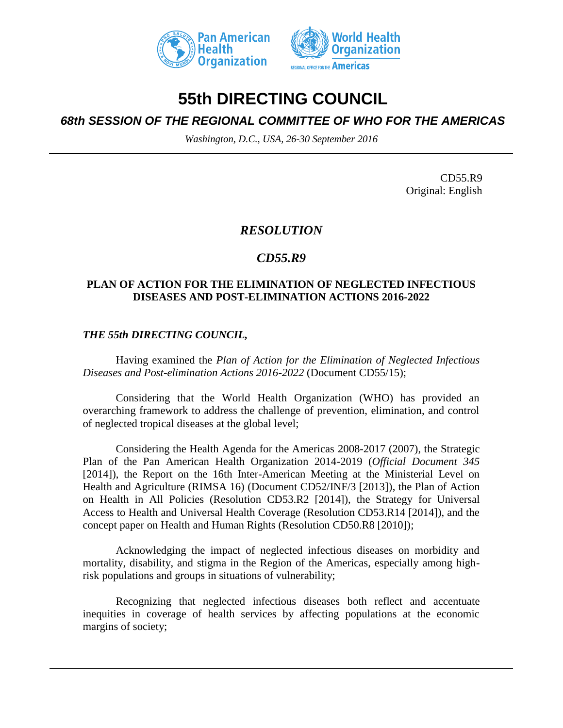



# **55th DIRECTING COUNCIL**

## *68th SESSION OF THE REGIONAL COMMITTEE OF WHO FOR THE AMERICAS*

*Washington, D.C., USA, 26-30 September 2016*

CD55.R9 Original: English

### *RESOLUTION*

## *CD55.R9*

#### **PLAN OF ACTION FOR THE ELIMINATION OF NEGLECTED INFECTIOUS DISEASES AND POST-ELIMINATION ACTIONS 2016-2022**

#### *THE 55th DIRECTING COUNCIL,*

Having examined the *Plan of Action for the Elimination of Neglected Infectious Diseases and Post-elimination Actions 2016-2022* (Document CD55/15);

Considering that the World Health Organization (WHO) has provided an overarching framework to address the challenge of prevention, elimination, and control of neglected tropical diseases at the global level;

Considering the Health Agenda for the Americas 2008-2017 (2007), the Strategic Plan of the Pan American Health Organization 2014-2019 (*Official Document 345* [2014]), the Report on the 16th Inter-American Meeting at the Ministerial Level on Health and Agriculture (RIMSA 16) (Document CD52/INF/3 [2013]), the Plan of Action on Health in All Policies (Resolution CD53.R2 [2014]), the Strategy for Universal Access to Health and Universal Health Coverage (Resolution CD53.R14 [2014]), and the concept paper on Health and Human Rights (Resolution CD50.R8 [2010]);

Acknowledging the impact of neglected infectious diseases on morbidity and mortality, disability, and stigma in the Region of the Americas, especially among highrisk populations and groups in situations of vulnerability;

Recognizing that neglected infectious diseases both reflect and accentuate inequities in coverage of health services by affecting populations at the economic margins of society;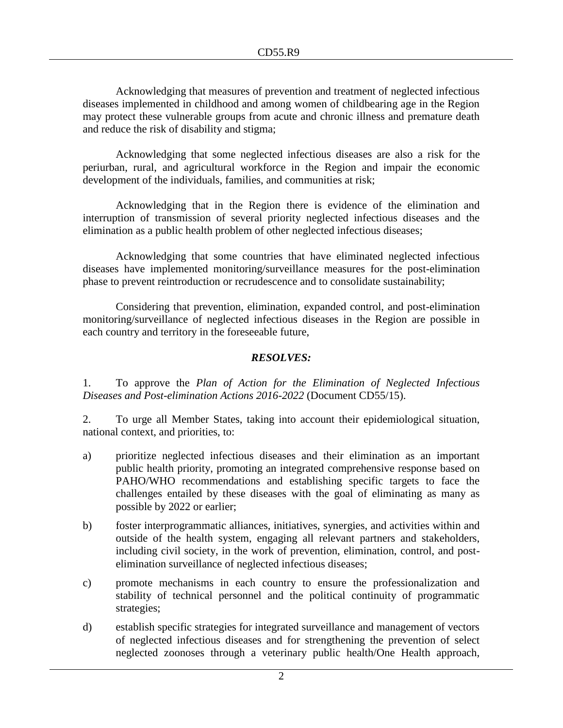Acknowledging that measures of prevention and treatment of neglected infectious diseases implemented in childhood and among women of childbearing age in the Region may protect these vulnerable groups from acute and chronic illness and premature death and reduce the risk of disability and stigma;

Acknowledging that some neglected infectious diseases are also a risk for the periurban, rural, and agricultural workforce in the Region and impair the economic development of the individuals, families, and communities at risk;

Acknowledging that in the Region there is evidence of the elimination and interruption of transmission of several priority neglected infectious diseases and the elimination as a public health problem of other neglected infectious diseases;

Acknowledging that some countries that have eliminated neglected infectious diseases have implemented monitoring/surveillance measures for the post-elimination phase to prevent reintroduction or recrudescence and to consolidate sustainability;

Considering that prevention, elimination, expanded control, and post-elimination monitoring/surveillance of neglected infectious diseases in the Region are possible in each country and territory in the foreseeable future,

#### *RESOLVES:*

1. To approve the *Plan of Action for the Elimination of Neglected Infectious Diseases and Post-elimination Actions 2016-2022* (Document CD55/15).

2. To urge all Member States, taking into account their epidemiological situation, national context, and priorities, to:

- a) prioritize neglected infectious diseases and their elimination as an important public health priority, promoting an integrated comprehensive response based on PAHO/WHO recommendations and establishing specific targets to face the challenges entailed by these diseases with the goal of eliminating as many as possible by 2022 or earlier;
- b) foster interprogrammatic alliances, initiatives, synergies, and activities within and outside of the health system, engaging all relevant partners and stakeholders, including civil society, in the work of prevention, elimination, control, and postelimination surveillance of neglected infectious diseases;
- c) promote mechanisms in each country to ensure the professionalization and stability of technical personnel and the political continuity of programmatic strategies;
- d) establish specific strategies for integrated surveillance and management of vectors of neglected infectious diseases and for strengthening the prevention of select neglected zoonoses through a veterinary public health/One Health approach,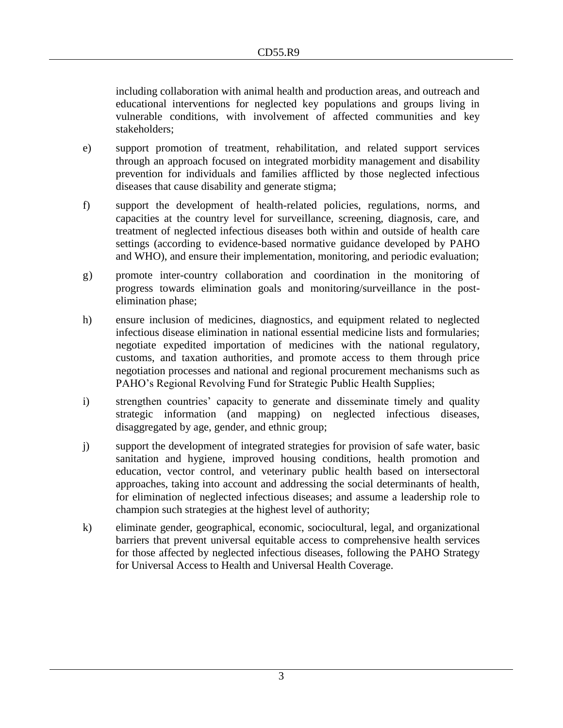including collaboration with animal health and production areas, and outreach and educational interventions for neglected key populations and groups living in vulnerable conditions, with involvement of affected communities and key stakeholders;

- e) support promotion of treatment, rehabilitation, and related support services through an approach focused on integrated morbidity management and disability prevention for individuals and families afflicted by those neglected infectious diseases that cause disability and generate stigma;
- f) support the development of health-related policies, regulations, norms, and capacities at the country level for surveillance, screening, diagnosis, care, and treatment of neglected infectious diseases both within and outside of health care settings (according to evidence-based normative guidance developed by PAHO and WHO), and ensure their implementation, monitoring, and periodic evaluation;
- g) promote inter-country collaboration and coordination in the monitoring of progress towards elimination goals and monitoring/surveillance in the postelimination phase;
- h) ensure inclusion of medicines, diagnostics, and equipment related to neglected infectious disease elimination in national essential medicine lists and formularies; negotiate expedited importation of medicines with the national regulatory, customs, and taxation authorities, and promote access to them through price negotiation processes and national and regional procurement mechanisms such as PAHO's Regional Revolving Fund for Strategic Public Health Supplies;
- i) strengthen countries' capacity to generate and disseminate timely and quality strategic information (and mapping) on neglected infectious diseases, disaggregated by age, gender, and ethnic group;
- j) support the development of integrated strategies for provision of safe water, basic sanitation and hygiene, improved housing conditions, health promotion and education, vector control, and veterinary public health based on intersectoral approaches, taking into account and addressing the social determinants of health, for elimination of neglected infectious diseases; and assume a leadership role to champion such strategies at the highest level of authority;
- k) eliminate gender, geographical, economic, sociocultural, legal, and organizational barriers that prevent universal equitable access to comprehensive health services for those affected by neglected infectious diseases, following the PAHO Strategy for Universal Access to Health and Universal Health Coverage.